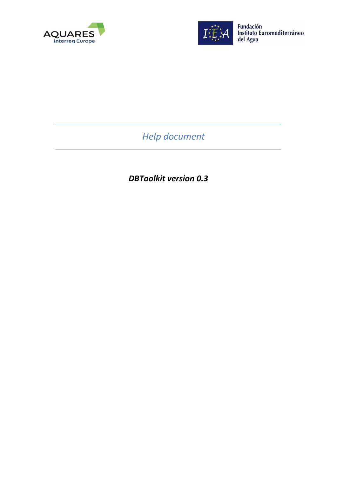



Fundación<br>Instituto Euromediterráneo<br>del Agua

*Help document* 

*DBToolkit version 0.3*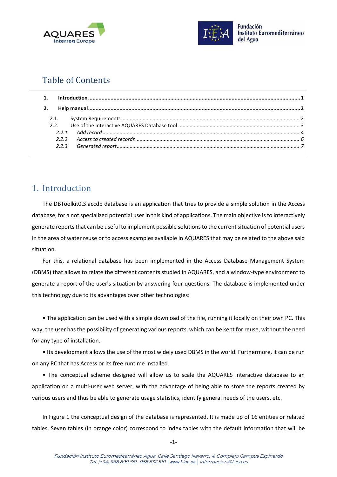



# Table of Contents

# <span id="page-1-0"></span>1. Introduction

The DBToolkit0.3.accdb database is an application that tries to provide a simple solution in the Access database, for a not specialized potential user in this kind of applications. The main objective is to interactively generate reportsthat can be useful to implement possible solutions to the current situation of potential users in the area of water reuse or to access examples available in AQUARES that may be related to the above said situation.

For this, a relational database has been implemented in the Access Database Management System (DBMS) that allows to relate the different contents studied in AQUARES, and a window-type environment to generate a report of the user's situation by answering four questions. The database is implemented under this technology due to its advantages over other technologies:

• The application can be used with a simple download of the file, running it locally on their own PC. This way, the user hasthe possibility of generating various reports, which can be kept for reuse, without the need for any type of installation.

• Its development allows the use of the most widely used DBMS in the world. Furthermore, it can be run on any PC that has Access or its free runtime installed.

• The conceptual scheme designed will allow us to scale the AQUARES interactive database to an application on a multi-user web server, with the advantage of being able to store the reports created by various users and thus be able to generate usage statistics, identify general needs of the users, etc.

In [Figure 1](#page-2-2) the conceptual design of the database is represented. It is made up of 16 entities or related tables. Seven tables (in orange color) correspond to index tables with the default information that will be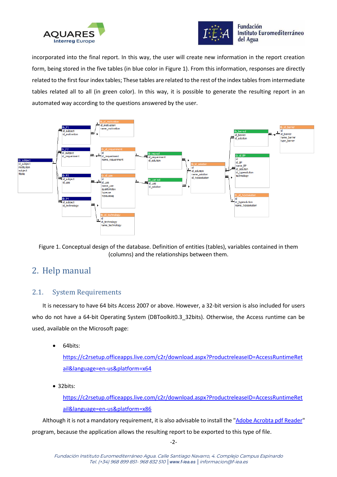



**Fundación** Instituto Euromediterráneo del Agua

incorporated into the final report. In this way, the user will create new information in the report creation form, being stored in the five tables (in blue color in [Figure 1\)](#page-2-2). From this information, responses are directly related to the first four index tables; These tables are related to the rest of the index tables from intermediate tables related all to all (in green color). In this way, it is possible to generate the resulting report in an automated way according to the questions answered by the user.



<span id="page-2-2"></span>Figure 1. Conceptual design of the database. Definition of entities (tables), variables contained in them (columns) and the relationships between them.

# <span id="page-2-0"></span>2. Help manual

## <span id="page-2-1"></span>2.1. System Requirements

It is necessary to have 64 bits Access 2007 or above. However, a 32-bit version is also included for users who do not have a 64-bit Operating System (DBToolkit0.3 32bits). Otherwise, the Access runtime can be used, available on the Microsoft page:

• 64bits:

[https://c2rsetup.officeapps.live.com/c2r/download.aspx?ProductreleaseID=AccessRuntimeRet](https://c2rsetup.officeapps.live.com/c2r/download.aspx?ProductreleaseID=AccessRuntimeRetail&language=en-us&platform=x64) [ail&language=en-us&platform=x64](https://c2rsetup.officeapps.live.com/c2r/download.aspx?ProductreleaseID=AccessRuntimeRetail&language=en-us&platform=x64)

• 32bits:

[https://c2rsetup.officeapps.live.com/c2r/download.aspx?ProductreleaseID=AccessRuntimeRet](https://c2rsetup.officeapps.live.com/c2r/download.aspx?ProductreleaseID=AccessRuntimeRetail&language=en-us&platform=x86) [ail&language=en-us&platform=x86](https://c2rsetup.officeapps.live.com/c2r/download.aspx?ProductreleaseID=AccessRuntimeRetail&language=en-us&platform=x86)

Although it is not a mandatory requirement, it is also advisable to install the ["Adobe Acrobta pdf Reader"](https://acrobat.adobe.com/us/en/acrobat/pdf-reader.html) program, because the application allows the resulting report to be exported to this type of file.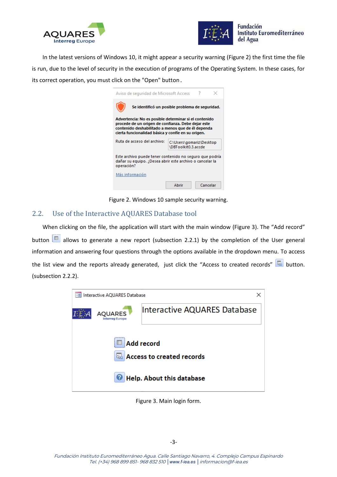



In the latest versions of Windows 10, it might appear a security warning [\(Figure 2\)](#page-3-1) the first time the file is run, due to the level of security in the execution of programs of the Operating System. In these cases, for its correct operation, you must click on the "Open" button.

| Aviso de seguridad de Microsoft Access                                                                                                                                                                                 |                                                 |          |  |
|------------------------------------------------------------------------------------------------------------------------------------------------------------------------------------------------------------------------|-------------------------------------------------|----------|--|
| Se identificó un posible problema de seguridad.                                                                                                                                                                        |                                                 |          |  |
| Advertencia: No es posible determinar si el contenido<br>procede de un origen de confianza. Debe dejar este<br>contenido deshabilitado a menos que de él dependa<br>cierta funcionalidad básica y confíe en su origen. |                                                 |          |  |
| Ruta de acceso del archivo:                                                                                                                                                                                            | C:\Users\gomariz\Desktop<br>\DBToolkit0.3.accde |          |  |
| Este archivo puede tener contenido no seguro que podría<br>dañar su equipo. ¿Desea abrir este archivo o cancelar la<br>operación?                                                                                      |                                                 |          |  |
| Más información                                                                                                                                                                                                        |                                                 |          |  |
|                                                                                                                                                                                                                        | Abrir                                           | Cancelar |  |

Figure 2. Windows 10 sample security warning.

### <span id="page-3-1"></span><span id="page-3-0"></span>2.2. Use of the Interactive AQUARES Database tool

When clicking on the file, the application will start with the main window [\(Figure 3\)](#page-3-2). The "Add record" button **allows to generate a new report (subsection [2.2.1\)](#page-4-0)** by the completion of the User general information and answering four questions through the options available in the dropdown menu. To access the list view and the reports already generated, just click the "Access to created records" and button. (subsection [2.2.2\)](#page-6-0).

<span id="page-3-2"></span>

Figure 3. Main login form.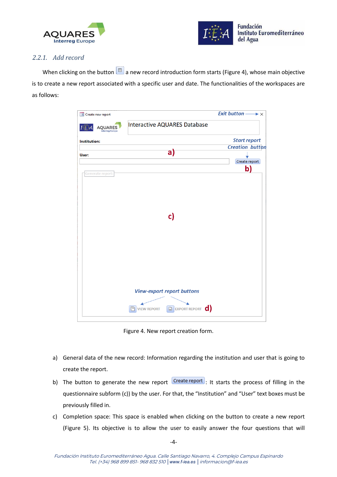



### <span id="page-4-0"></span>*2.2.1. Add record*

When clicking on the button  $\Box$  a new record introduction form starts [\(Figure 4\)](#page-4-1), whose main objective is to create a new report associated with a specific user and date. The functionalities of the workspaces are as follows:

| <b>EB</b> Create new report              |                                                                                                  | Exit button $\longrightarrow \times$ |
|------------------------------------------|--------------------------------------------------------------------------------------------------|--------------------------------------|
| <b>AOUARES</b><br><b>Interreg Europe</b> | Interactive AQUARES Database                                                                     |                                      |
| Institution:                             |                                                                                                  | <b>Start report</b>                  |
|                                          | $\mathsf{a}$                                                                                     | <b>Creation button</b>               |
| User:                                    |                                                                                                  |                                      |
|                                          |                                                                                                  | Create report                        |
| Generate report:                         | c)                                                                                               | b)                                   |
|                                          | <b>View-export report buttons</b><br>EXPORT REPORT <b>C</b><br>$\Box$<br>戶<br><b>VIEW REPORT</b> |                                      |

Figure 4. New report creation form.

- <span id="page-4-1"></span>a) General data of the new record: Information regarding the institution and user that is going to create the report.
- b) The button to generate the new report  $\overline{C}$  Create report : It starts the process of filling in the questionnaire subform (c)) by the user. For that, the "Institution" and "User" text boxes must be previously filled in.
- c) Completion space: This space is enabled when clicking on the button to create a new report [\(Figure 5\)](#page-5-0). Its objective is to allow the user to easily answer the four questions that will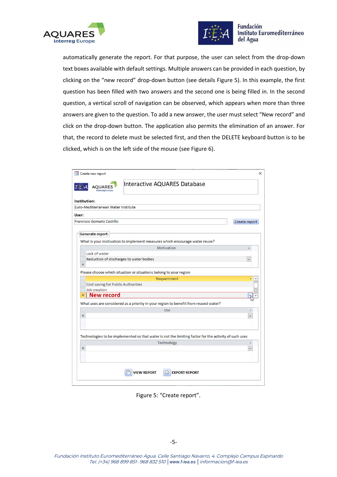



#### **Fundación** Instituto Euromediterráneo del Agua

automatically generate the report. For that purpose, the user can select from the drop-down text boxes available with default settings. Multiple answers can be provided in each question, by clicking on the "new record" drop-down button (see details [Figure 5\)](#page-5-0). In this example, the first question has been filled with two answers and the second one is being filled in. In the second question, a vertical scroll of navigation can be observed, which appears when more than three answers are given to the question. To add a new answer, the user must select "New record" and click on the drop-down button. The application also permits the elimination of an answer. For that, the record to delete must be selected first, and then the DELETE keyboard button is to be clicked, which is on the left side of the mouse (see [Figure 6\)](#page-6-1).

|              | <b>EB</b> Create new report             |                                                                                                       | ×             |
|--------------|-----------------------------------------|-------------------------------------------------------------------------------------------------------|---------------|
|              | AOUARES<br><b>Interreg Europe</b>       | Interactive AQUARES Database                                                                          |               |
| Institution: |                                         |                                                                                                       |               |
|              | Euro-Mediterranean Water Institute      |                                                                                                       |               |
| User:        |                                         |                                                                                                       |               |
|              | <b>Francisco Gomariz Castillo</b>       |                                                                                                       | Create report |
|              |                                         |                                                                                                       |               |
|              | <b>Generate report:</b>                 |                                                                                                       |               |
|              |                                         | What is your motivation to implement measures which encourage water reuse?                            |               |
|              |                                         | Motivation                                                                                            |               |
|              | Lack of water                           |                                                                                                       |               |
|              | Reduction of discharges to water bodies |                                                                                                       | $\checkmark$  |
| $*$          |                                         |                                                                                                       |               |
|              |                                         | Please choose which situation or situations belong to your region                                     |               |
|              |                                         | Requeriment                                                                                           |               |
|              | Cost saving for Public Authorities      |                                                                                                       |               |
|              | Job creation                            |                                                                                                       |               |
| *            | New record                              |                                                                                                       |               |
|              |                                         | What uses are considered as a priority in your region to benefit from reused water?                   |               |
|              |                                         | <b>Use</b>                                                                                            |               |
| ₩            |                                         |                                                                                                       | $\checkmark$  |
|              |                                         |                                                                                                       |               |
|              |                                         |                                                                                                       |               |
|              |                                         | Technologies to be implemented so that water is not the limiting factor for the activity of such uses |               |
|              |                                         | Technology                                                                                            |               |
| *            |                                         |                                                                                                       | $\checkmark$  |
|              |                                         |                                                                                                       |               |
|              |                                         |                                                                                                       |               |
|              |                                         | <b>VIEW REPORT</b><br>F.<br><b>EXPORT REPORT</b>                                                      |               |
|              |                                         |                                                                                                       |               |

<span id="page-5-0"></span>Figure 5: "Create report".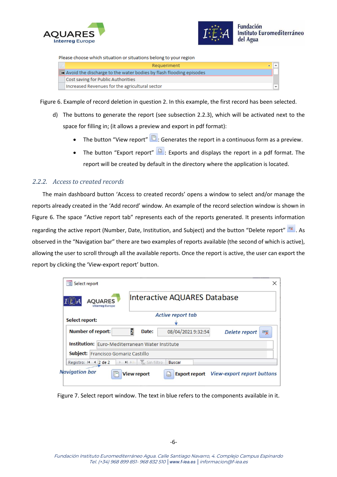



Please choose which situation or situations belong to your region



<span id="page-6-1"></span>Figure 6. Example of record deletion in question 2. In this example, the first record has been selected.

- d) The buttons to generate the report (see subsection [2.2.3\)](#page-7-0), which will be activated next to the space for filling in; (it allows a preview and export in pdf format):
	- The button "View report"  $\Box$ : Generates the report in a continuous form as a preview.
	- The button "Export report"  $\frac{1}{2}$ : Exports and displays the report in a pdf format. The report will be created by default in the directory where the application is located.

### <span id="page-6-0"></span>*2.2.2. Access to created records*

The main dashboard button 'Access to created records' opens a window to select and/or manage the reports already created in the 'Add record' window. An example of the record selection window is shown in Figure 6. The space "Active report tab" represents each of the reports generated. It presents information regarding the active report (Number, Date, Institution, and Subject) and the button "Delete report"  $\overline{\mathbb{R}}$ . As observed in the "Navigation bar" there are two examples of reports available (the second of which is active), allowing the user to scroll through all the available reports. Once the report is active, the user can export the report by clicking the 'View-export report' button.

| = Select report<br><b>AQUARES</b><br><b>Interreg Europe</b>                                   |                                                                      | <b>Interactive AQUARES Database</b>         |                                   |
|-----------------------------------------------------------------------------------------------|----------------------------------------------------------------------|---------------------------------------------|-----------------------------------|
| Select report:                                                                                |                                                                      | <b>Active report tab</b>                    |                                   |
| <b>Number of report:</b>                                                                      | Date:                                                                | 08/04/2021 9:32:54                          | Delete report<br>气                |
| <b>Institution:</b> Euro-Mediterranean Water Institute<br>Subject: Francisco Gomariz Castillo |                                                                      |                                             |                                   |
| Registro: 14 4 2 de 2<br><b>Navigation bar</b><br>ķ-                                          | $H \rightarrow \infty$ $I_{\infty}$ Sin filtro<br><b>View report</b> | <b>Buscar</b><br>Ð.<br><b>Export report</b> | <b>View-export report buttons</b> |

Figure 7. Select report window. The text in blue refers to the components available in it.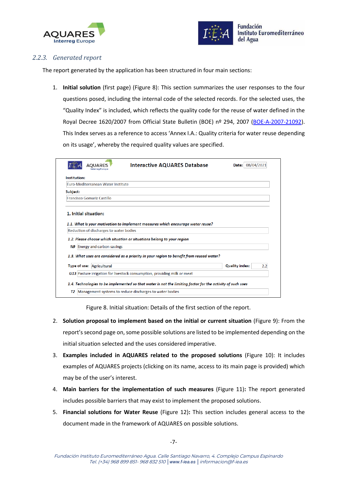



### <span id="page-7-0"></span>*2.2.3. Generated report*

The report generated by the application has been structured in four main sections:

1. **Initial solution** (first page) [\(Figure 8\)](#page-7-1): This section summarizes the user responses to the four questions posed, including the internal code of the selected records. For the selected uses, the "Quality Index" is included, which reflects the quality code for the reuse of water defined in the Royal Decree 1620/2007 from Official State Bulletin (BOE) nº 294, 2007 [\(BOE-A-2007-21092\)](https://www.boe.es/eli/es/rd/2007/12/07/1620). This Index serves as a reference to access 'Annex I.A.: Quality criteria for water reuse depending on its usage', whereby the required quality values are specified.

| Institution:          |                                         |                                                                                          |     |
|-----------------------|-----------------------------------------|------------------------------------------------------------------------------------------|-----|
|                       | Furo-Mediterranean Water Institute      |                                                                                          |     |
| Subject:              |                                         |                                                                                          |     |
|                       | Francisco Gomariz Castillo              |                                                                                          |     |
| 1. Initial situation: |                                         | 1.1. What is your motivation to implement measures which encourage water reuse?          |     |
|                       | Reduction of discharges to water bodies | 1.2. Please choose which situation or situations belong to your region                   |     |
|                       | N9 Energy and carbon savings            | 1.3. What uses are considered as a priority in your region to benefit from reused water? |     |
|                       | Type of use: Agricultural               | <b>Quality index:</b>                                                                    | 2.2 |

Figure 8. Initial situation: Details of the first section of the report.

- <span id="page-7-1"></span>2. **Solution proposal to implement based on the initial or current situation** [\(Figure 9\)](#page-8-0): From the report's second page on, some possible solutions are listed to be implemented depending on the initial situation selected and the uses considered imperative.
- 3. **Examples included in AQUARES related to the proposed solutions** [\(Figure 10\)](#page-9-0): It includes examples of AQUARES projects (clicking on its name, access to its main page is provided) which may be of the user's interest.
- 4. **Main barriers for the implementation of such measures** [\(Figure 11\)](#page-9-1)**:** The report generated includes possible barriers that may exist to implement the proposed solutions.
- 5. **Financial solutions for Water Reuse** [\(Figure 12\)](#page-10-0)**:** This section includes general access to the document made in the framework of AQUARES on possible solutions.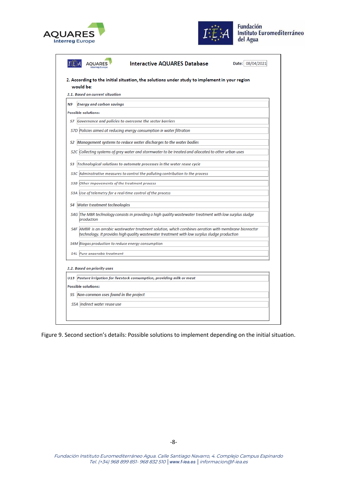



|           | <b>Interactive AQUARES Database</b><br>Date: 08/04/2021<br>2. According to the initial situation, the solutions under study to implement in your region                                                 |
|-----------|---------------------------------------------------------------------------------------------------------------------------------------------------------------------------------------------------------|
|           | would be:                                                                                                                                                                                               |
|           | 2.1. Based on current situation                                                                                                                                                                         |
| <b>N9</b> | <b>Energy and carbon savings</b>                                                                                                                                                                        |
|           | <b>Possible solutions:</b>                                                                                                                                                                              |
| S7        | Governance and policies to overcome the sector barriers                                                                                                                                                 |
|           | S7D Policies aimed at reducing energy consumption in water filtration                                                                                                                                   |
|           | S2 Management systems to reduce water discharges to the water badies                                                                                                                                    |
|           | S2C Collecting systems of grey water and stormwater to be treated and allocated to other urban uses                                                                                                     |
| S3        | Technological solutions to automate processes in the water reuse cycle                                                                                                                                  |
| S3C       | Administrative measures to control the polluting contribution to the process                                                                                                                            |
|           | S3B Other impovements of the treatment process                                                                                                                                                          |
| S3A       | Use of telemetry for a real-time control of the process                                                                                                                                                 |
| S4        | <b>Water treatment technologies</b>                                                                                                                                                                     |
|           | S4G The MBR technology consists in providing a high quality wastewater treatment with low surplus sludge<br>production                                                                                  |
|           | S4F  AMBR is an aerobic wastewater treatment solution, which combines aeration with membrane bioreactor<br>technology. It provides high quality wastewater treatment with low surplus sludge production |
|           | S4M Biogas production to reduce energy consumption                                                                                                                                                      |
|           | S4L Pure anaerobic treatment                                                                                                                                                                            |
|           | 2.2. Based on priority uses<br>U13 Pasture irrigation for livestock consumption, providing milk or meat                                                                                                 |
|           | <b>Possible solutions:</b>                                                                                                                                                                              |
|           | S5 Non-common uses found in the project                                                                                                                                                                 |
|           | S5A Indirect water reuse use                                                                                                                                                                            |

<span id="page-8-0"></span>Figure 9. Second section's details: Possible solutions to implement depending on the initial situation.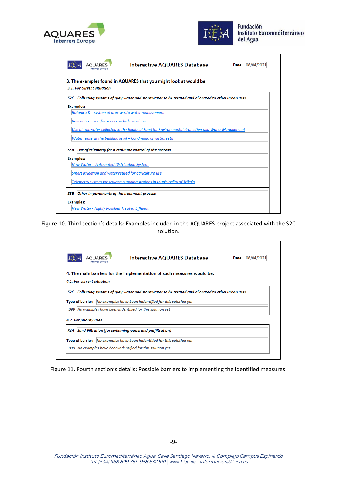



| <b>AOUARES</b>                                              | <b>Interactive AQUARES Database</b>                                                                 | Date: 08/04/2021 |
|-------------------------------------------------------------|-----------------------------------------------------------------------------------------------------|------------------|
|                                                             |                                                                                                     |                  |
| 3.1. For current situation                                  | 3. The examples found in AQUARES that you might look at would be:                                   |                  |
|                                                             | S2C Collecting systems of grey water and stormwater to be treated and allocated to other urban uses |                  |
| <b>Examples:</b>                                            |                                                                                                     |                  |
| Botanica $K$ – system of grey waste water management        |                                                                                                     |                  |
| Rainwater reuse for service vehicle washing                 |                                                                                                     |                  |
|                                                             | Use of rainwater collected in the Regional Fund for Environmental Protection and Water Management   |                  |
|                                                             | Water reuse at the building level - Condminio di via Sassetti                                       |                  |
| S3A Use of telemetry for a real-time control of the process |                                                                                                     |                  |
| <b>Examples:</b>                                            |                                                                                                     |                  |
| <b>New Water - Automated Distribution System</b>            |                                                                                                     |                  |
| Smart Irriaation and water reused for aariculture use       |                                                                                                     |                  |
|                                                             | Telemetry system for sewage pumping stations in Municipality of Trikala                             |                  |
| Other impovements of the treatment process<br>S3B           |                                                                                                     |                  |
| <b>Examples:</b>                                            |                                                                                                     |                  |
| <b>New Water - Highly Polished Treated Effluent</b>         |                                                                                                     |                  |

<span id="page-9-0"></span>Figure 10. Third section's details: Examples included in the AQUARES project associated with the S2C solution.

|                            | AOUARES | <b>Interactive AQUARES Database</b>                                                             | Date: 08/04/2021 |
|----------------------------|---------|-------------------------------------------------------------------------------------------------|------------------|
|                            |         | 4. The main barriers for the implementation of such measures would be:                          |                  |
| 4.1. For current situation |         |                                                                                                 |                  |
| S2C.                       |         | Collecting systems of grey water and stormwater to be treated and allocated to other urban uses |                  |
|                            |         | Type of barrier: No examples have been indentified for this solution yet                        |                  |
|                            |         | B99 No examples have been indentified for this solution yet                                     |                  |
| 4.2. For priority uses     |         |                                                                                                 |                  |
| S4A                        |         | Sand Filtration (for swimming-pools and prefiltration)                                          |                  |
|                            |         |                                                                                                 |                  |

<span id="page-9-1"></span>Figure 11. Fourth section's details: Possible barriers to implementing the identified measures.